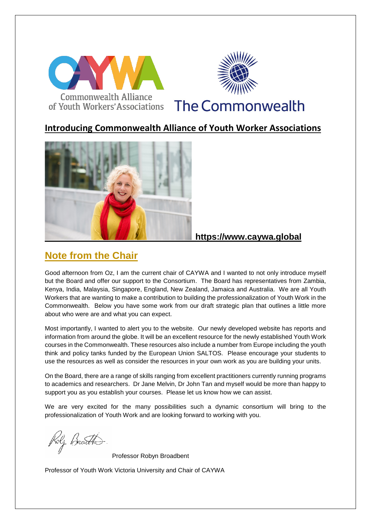

### **Introducing Commonwealth Alliance of Youth Worker Associations**



#### **https://www.caywa.global**

# **Note from the Chair**

Good afternoon from Oz, I am the current chair of CAYWA and I wanted to not only introduce myself but the Board and offer our support to the Consortium. The Board has representatives from Zambia, Kenya, India, Malaysia, Singapore, England, New Zealand, Jamaica and Australia. We are all Youth Workers that are wanting to make a contribution to building the professionalization of Youth Work in the Commonwealth. Below you have some work from our draft strategic plan that outlines a little more about who were are and what you can expect.

Most importantly, I wanted to alert you to the website. Our newly developed website has reports and information from around the globe. It will be an excellent resource for the newly established Youth Work courses in the Commonwealth. These resources also include a number from Europe including the youth think and policy tanks funded by the European Union SALTOS. Please encourage your students to use the resources as well as consider the resources in your own work as you are building your units.

On the Board, there are a range of skills ranging from excellent practitioners currently running programs to academics and researchers. Dr Jane Melvin, Dr John Tan and myself would be more than happy to support you as you establish your courses. Please let us know how we can assist.

We are very excited for the many possibilities such a dynamic consortium will bring to the professionalization of Youth Work and are looking forward to working with you.

Rolz Boar<del>d D</del>

Professor Robyn Broadbent

Professor of Youth Work Victoria University and Chair of CAYWA